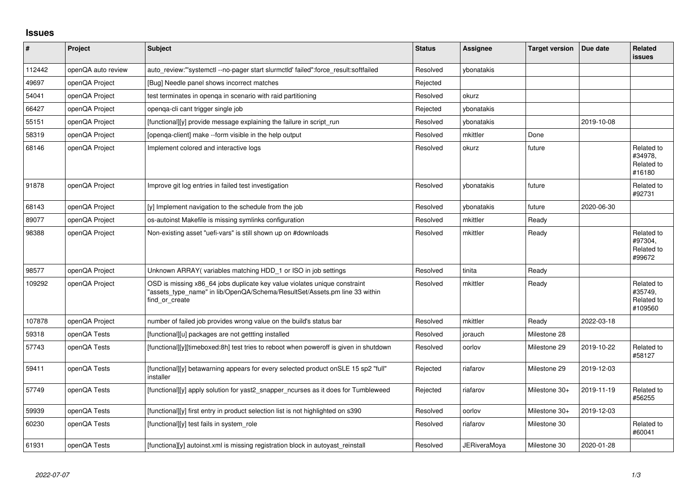## **Issues**

| #      | Project            | <b>Subject</b>                                                                                                                                                            | <b>Status</b> | <b>Assignee</b>     | <b>Target version</b> | Due date   | <b>Related</b><br><b>issues</b>                |
|--------|--------------------|---------------------------------------------------------------------------------------------------------------------------------------------------------------------------|---------------|---------------------|-----------------------|------------|------------------------------------------------|
| 112442 | openQA auto review | auto_review:"'systemctl --no-pager start slurmctld' failed":force_result:softfailed                                                                                       | Resolved      | ybonatakis          |                       |            |                                                |
| 49697  | openQA Project     | [Bug] Needle panel shows incorrect matches                                                                                                                                | Rejected      |                     |                       |            |                                                |
| 54041  | openQA Project     | test terminates in openga in scenario with raid partitioning                                                                                                              | Resolved      | okurz               |                       |            |                                                |
| 66427  | openQA Project     | openga-cli cant trigger single job                                                                                                                                        | Rejected      | ybonatakis          |                       |            |                                                |
| 55151  | openQA Project     | [functional][y] provide message explaining the failure in script run                                                                                                      | Resolved      | vbonatakis          |                       | 2019-10-08 |                                                |
| 58319  | openQA Project     | [openga-client] make --form visible in the help output                                                                                                                    | Resolved      | mkittler            | Done                  |            |                                                |
| 68146  | openQA Project     | Implement colored and interactive logs                                                                                                                                    | Resolved      | okurz               | future                |            | Related to<br>#34978,<br>Related to<br>#16180  |
| 91878  | openQA Project     | Improve git log entries in failed test investigation                                                                                                                      | Resolved      | ybonatakis          | future                |            | Related to<br>#92731                           |
| 68143  | openQA Project     | [y] Implement navigation to the schedule from the job                                                                                                                     | Resolved      | vbonatakis          | future                | 2020-06-30 |                                                |
| 89077  | openQA Project     | os-autoinst Makefile is missing symlinks configuration                                                                                                                    | Resolved      | mkittler            | Ready                 |            |                                                |
| 98388  | openQA Project     | Non-existing asset "uefi-vars" is still shown up on #downloads                                                                                                            | Resolved      | mkittler            | Ready                 |            | Related to<br>#97304,<br>Related to<br>#99672  |
| 98577  | openQA Project     | Unknown ARRAY(variables matching HDD_1 or ISO in job settings                                                                                                             | Resolved      | tinita              | Ready                 |            |                                                |
| 109292 | openQA Project     | OSD is missing x86_64 jobs duplicate key value violates unique constraint<br>"assets type name" in lib/OpenQA/Schema/ResultSet/Assets.pm line 33 within<br>find or create | Resolved      | mkittler            | Ready                 |            | Related to<br>#35749,<br>Related to<br>#109560 |
| 107878 | openQA Project     | number of failed job provides wrong value on the build's status bar                                                                                                       | Resolved      | mkittler            | Ready                 | 2022-03-18 |                                                |
| 59318  | openQA Tests       | [functional][u] packages are not gettting installed                                                                                                                       | Resolved      | jorauch             | Milestone 28          |            |                                                |
| 57743  | openQA Tests       | [functional][y][timeboxed:8h] test tries to reboot when poweroff is given in shutdown                                                                                     | Resolved      | oorlov              | Milestone 29          | 2019-10-22 | Related to<br>#58127                           |
| 59411  | openQA Tests       | [functional][y] betawarning appears for every selected product onSLE 15 sp2 "full"<br>installer                                                                           | Rejected      | riafarov            | Milestone 29          | 2019-12-03 |                                                |
| 57749  | openQA Tests       | [functional][y] apply solution for yast2 snapper ncurses as it does for Tumbleweed                                                                                        | Rejected      | riafarov            | Milestone 30+         | 2019-11-19 | Related to<br>#56255                           |
| 59939  | openQA Tests       | [functional][y] first entry in product selection list is not highlighted on s390                                                                                          | Resolved      | oorlov              | Milestone 30+         | 2019-12-03 |                                                |
| 60230  | openQA Tests       | [functional][y] test fails in system role                                                                                                                                 | Resolved      | riafarov            | Milestone 30          |            | Related to<br>#60041                           |
| 61931  | openQA Tests       | [functiona][y] autoinst.xml is missing registration block in autoyast reinstall                                                                                           | Resolved      | <b>JERiveraMoya</b> | Milestone 30          | 2020-01-28 |                                                |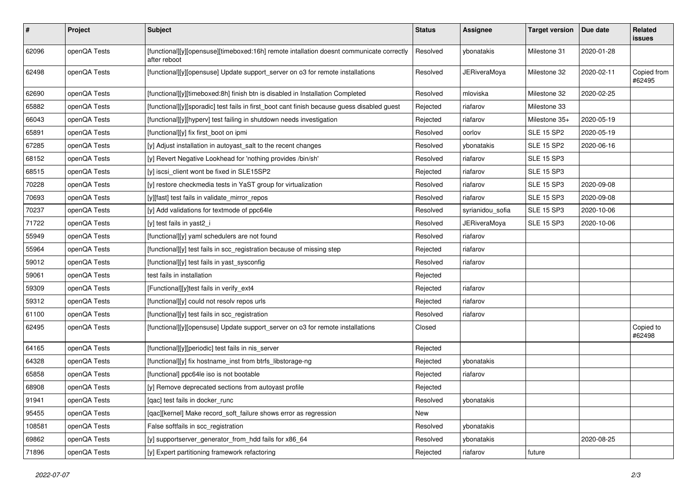| $\sharp$ | Project      | <b>Subject</b>                                                                                           | <b>Status</b> | <b>Assignee</b>     | <b>Target version</b> | Due date   | Related<br>issues     |
|----------|--------------|----------------------------------------------------------------------------------------------------------|---------------|---------------------|-----------------------|------------|-----------------------|
| 62096    | openQA Tests | [functional][y][opensuse][timeboxed:16h] remote intallation doesnt communicate correctly<br>after reboot | Resolved      | ybonatakis          | Milestone 31          | 2020-01-28 |                       |
| 62498    | openQA Tests | [functional][y][opensuse] Update support_server on o3 for remote installations                           | Resolved      | <b>JERiveraMoya</b> | Milestone 32          | 2020-02-11 | Copied from<br>#62495 |
| 62690    | openQA Tests | [functional][y][timeboxed:8h] finish btn is disabled in Installation Completed                           | Resolved      | mloviska            | Milestone 32          | 2020-02-25 |                       |
| 65882    | openQA Tests | [functional][y][sporadic] test fails in first_boot cant finish because guess disabled guest              | Rejected      | riafarov            | Milestone 33          |            |                       |
| 66043    | openQA Tests | [functional][y][hyperv] test failing in shutdown needs investigation                                     | Rejected      | riafarov            | Milestone 35+         | 2020-05-19 |                       |
| 65891    | openQA Tests | [functional][y] fix first_boot on ipmi                                                                   | Resolved      | oorlov              | <b>SLE 15 SP2</b>     | 2020-05-19 |                       |
| 67285    | openQA Tests | [y] Adjust installation in autoyast_salt to the recent changes                                           | Resolved      | ybonatakis          | <b>SLE 15 SP2</b>     | 2020-06-16 |                       |
| 68152    | openQA Tests | [y] Revert Negative Lookhead for 'nothing provides /bin/sh'                                              | Resolved      | riafarov            | <b>SLE 15 SP3</b>     |            |                       |
| 68515    | openQA Tests | [y] iscsi_client wont be fixed in SLE15SP2                                                               | Rejected      | riafarov            | <b>SLE 15 SP3</b>     |            |                       |
| 70228    | openQA Tests | [y] restore checkmedia tests in YaST group for virtualization                                            | Resolved      | riafarov            | <b>SLE 15 SP3</b>     | 2020-09-08 |                       |
| 70693    | openQA Tests | [y][fast] test fails in validate mirror repos                                                            | Resolved      | riafarov            | <b>SLE 15 SP3</b>     | 2020-09-08 |                       |
| 70237    | openQA Tests | [y] Add validations for textmode of ppc64le                                                              | Resolved      | syrianidou_sofia    | <b>SLE 15 SP3</b>     | 2020-10-06 |                       |
| 71722    | openQA Tests | [y] test fails in yast2 i                                                                                | Resolved      | <b>JERiveraMoya</b> | <b>SLE 15 SP3</b>     | 2020-10-06 |                       |
| 55949    | openQA Tests | [functional][y] yaml schedulers are not found                                                            | Resolved      | riafarov            |                       |            |                       |
| 55964    | openQA Tests | [functional][y] test fails in scc_registration because of missing step                                   | Rejected      | riafarov            |                       |            |                       |
| 59012    | openQA Tests | [functional][y] test fails in yast_sysconfig                                                             | Resolved      | riafarov            |                       |            |                       |
| 59061    | openQA Tests | test fails in installation                                                                               | Rejected      |                     |                       |            |                       |
| 59309    | openQA Tests | [Functional][y]test fails in verify_ext4                                                                 | Rejected      | riafarov            |                       |            |                       |
| 59312    | openQA Tests | [functional][y] could not resolv repos urls                                                              | Rejected      | riafarov            |                       |            |                       |
| 61100    | openQA Tests | [functional][y] test fails in scc_registration                                                           | Resolved      | riafarov            |                       |            |                       |
| 62495    | openQA Tests | [functional][y][opensuse] Update support_server on o3 for remote installations                           | Closed        |                     |                       |            | Copied to<br>#62498   |
| 64165    | openQA Tests | [functional][y][periodic] test fails in nis_server                                                       | Rejected      |                     |                       |            |                       |
| 64328    | openQA Tests | [functional][y] fix hostname_inst from btrfs_libstorage-ng                                               | Rejected      | ybonatakis          |                       |            |                       |
| 65858    | openQA Tests | [functional] ppc64le iso is not bootable                                                                 | Rejected      | riafarov            |                       |            |                       |
| 68908    | openQA Tests | [y] Remove deprecated sections from autovast profile                                                     | Rejected      |                     |                       |            |                       |
| 91941    | openQA Tests | [qac] test fails in docker_runc                                                                          | Resolved      | ybonatakis          |                       |            |                       |
| 95455    | openQA Tests | [qac][kernel] Make record_soft_failure shows error as regression                                         | New           |                     |                       |            |                       |
| 108581   | openQA Tests | False softfails in scc_registration                                                                      | Resolved      | vbonatakis          |                       |            |                       |
| 69862    | openQA Tests | [y] supportserver_generator_from_hdd fails for x86_64                                                    | Resolved      | ybonatakis          |                       | 2020-08-25 |                       |
| 71896    | openQA Tests | [y] Expert partitioning framework refactoring                                                            | Rejected      | riafarov            | future                |            |                       |